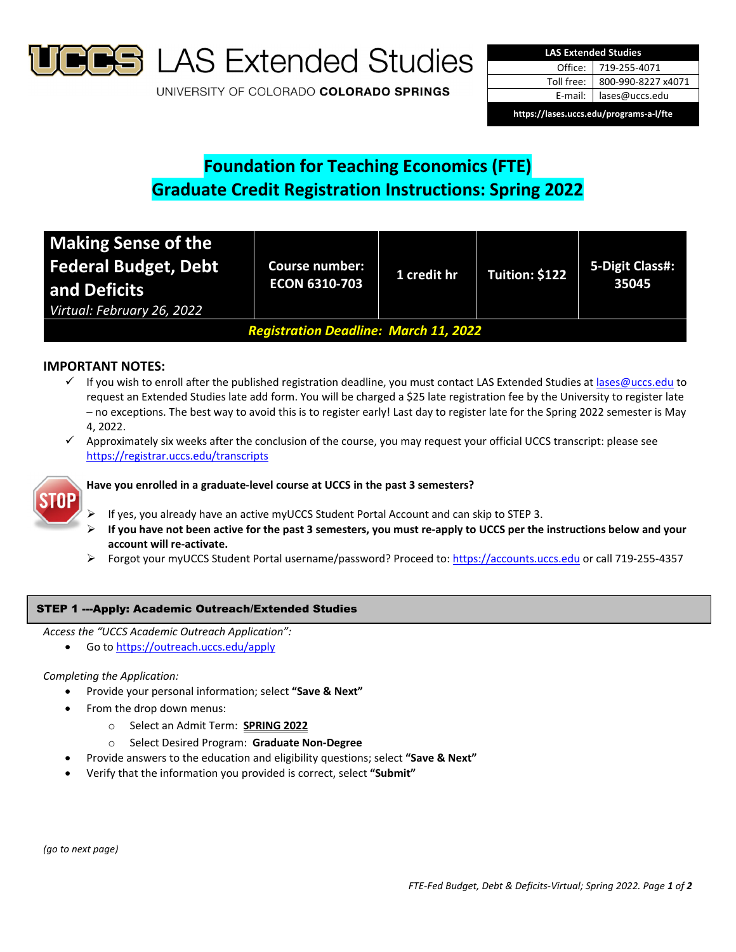

**S** LAS Extended Studies

UNIVERSITY OF COLORADO COLORADO SPRINGS

| <b>LAS Extended Studies</b>             |                    |  |  |  |
|-----------------------------------------|--------------------|--|--|--|
| Office:                                 | 719-255-4071       |  |  |  |
| Toll free:                              | 800-990-8227 x4071 |  |  |  |
| E-mail:                                 | lases@uccs.edu     |  |  |  |
| https://lases.uccs.edu/programs-a-l/fte |                    |  |  |  |

# **Foundation for Teaching Economics (FTE) Graduate Credit Registration Instructions: Spring 2022**

| <b>Making Sense of the</b><br><b>Federal Budget, Debt</b><br>and Deficits<br>Virtual: February 26, 2022 | <b>Course number:</b><br><b>ECON 6310-703</b> | 1 credit hr | Tuition: \$122 | 5-Digit Class#:<br>35045 |  |
|---------------------------------------------------------------------------------------------------------|-----------------------------------------------|-------------|----------------|--------------------------|--|
| <b>Registration Deadline: March 11, 2022</b>                                                            |                                               |             |                |                          |  |

# **IMPORTANT NOTES:**

- √ If you wish to enroll after the published registration deadline, you must contact LAS Extended Studies at lases@uccs.edu to request an Extended Studies late add form. You will be charged a \$25 late registration fee by the University to register late – no exceptions. The best way to avoid this is to register early! Last day to register late for the Spring 2022 semester is May 4, 2022.
- Approximately six weeks after the conclusion of the course, you may request your official UCCS transcript: please see https://registrar.uccs.edu/transcripts



# **Have you enrolled in a graduate‐level course at UCCS in the past 3 semesters?**

- If yes, you already have an active myUCCS Student Portal Account and can skip to STEP 3.
- If you have not been active for the past 3 semesters, you must re-apply to UCCS per the instructions below and your **account will re‐activate.**
- Forgot your myUCCS Student Portal username/password? Proceed to: https://accounts.uccs.edu or call 719-255-4357

# STEP 1 ---Apply: Academic Outreach/Extended Studies

- *Access the "UCCS Academic Outreach Application":*
	- Go to https://outreach.uccs.edu/apply

## *Completing the Application:*

- Provide your personal information; select **"Save & Next"**
	- From the drop down menus:
		- o Select an Admit Term: **SPRING 2022**
		- o Select Desired Program: **Graduate Non‐Degree**
- Provide answers to the education and eligibility questions; select **"Save & Next"**
- Verify that the information you provided is correct, select **"Submit"**

*(go to next page)*